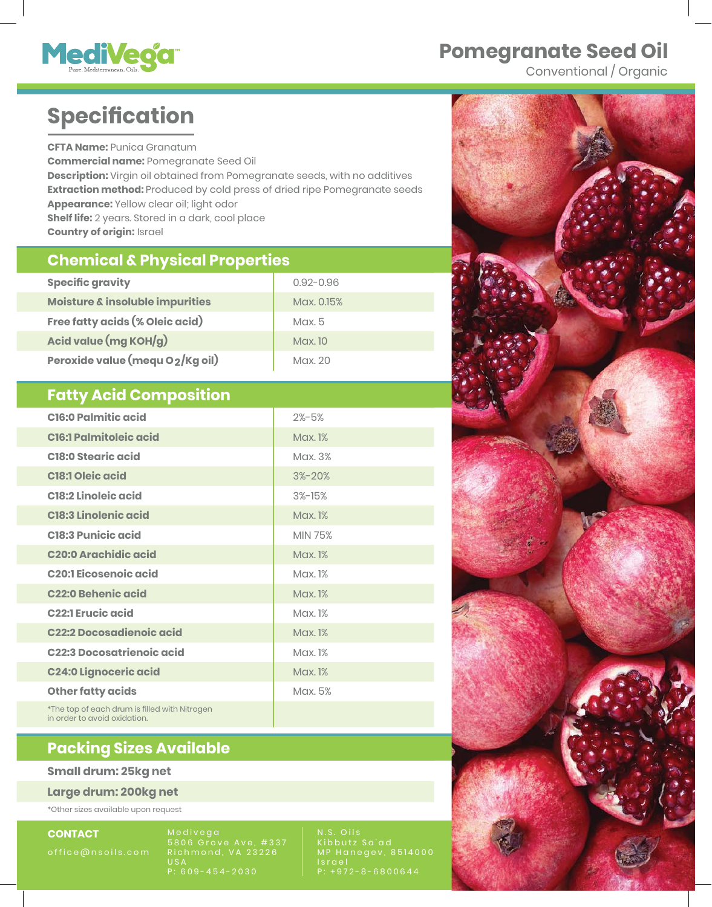

## **Nomegranate Seed Oil**

Conventional / Organic

# **Specification**

**CFTA Name: Punica Granatum** Commercial name: Pomegranate Seed Oil **Description:** Virgin oil obtained from Pomegranate seeds, with no additives **Extraction method:** Produced by cold press of dried ripe Pomegranate seeds **Appearance: Yellow clear oil; light odor Shelf life:** 2 years. Stored in a dark, cool place Country of origin: Israel

#### **Chemical & Physical Properties**

| <b>Specific gravity</b>         | $0.92 - 0.96$ |
|---------------------------------|---------------|
| Moisture & insoluble impurities | Max. 0.15%    |
| Free fatty acids (% Oleic acid) | $M$ ax. 5     |
| Acid value (mg KOH/g)           | Max. 10       |
| Peroxide value (mequ O2/Kg oil) | Max. 20       |

#### **Fatty Acid Composition**

| <b>C16:0 Palmitic acid</b>                    | $2\% - 5\%$    |
|-----------------------------------------------|----------------|
| <b>C16:1 Palmitoleic acid</b>                 | Max. 1%        |
| <b>C18:0 Stearic acid</b>                     | Max. 3%        |
| <b>C18:1 Oleic acid</b>                       | $3\% - 20\%$   |
| <b>C18:2 Linoleic acid</b>                    | $3%$ -15%      |
| <b>C18:3 Linolenic acid</b>                   | Max. 1%        |
| <b>C18:3 Punicic acid</b>                     | <b>MIN 75%</b> |
| <b>C20:0 Arachidic acid</b>                   | Max. 1%        |
| <b>C20:1 Eicosenoic acid</b>                  | Max. 1%        |
| <b>C22:0 Behenic acid</b>                     | Max. 1%        |
| <b>C22:1 Erucic acid</b>                      | Max. 1%        |
| <b>C22:2 Docosadienoic acid</b>               | <b>Max. 1%</b> |
| <b>C22:3 Docosatrienoic acid</b>              | Max. 1%        |
| <b>C24:0 Lignoceric acid</b>                  | <b>Max. 1%</b> |
| <b>Other fatty acids</b>                      | Max. 5%        |
| *The top of each drum is filled with Nitrogen |                |

### **Nacking Sizes Available**

#### **Small drum: 25kg net**

in order to avoid oxidation.

Large drum: 200kg net

\* Other sizes available upon request

**CONTACT** 

5806 Grove Ave, #337 Richmond, VA 23226  $\overline{u}$ s P: 609-454-2030

Kibbutz Sa'ad MP Hanegev, 8514000 Israel P: +972-8-6800644

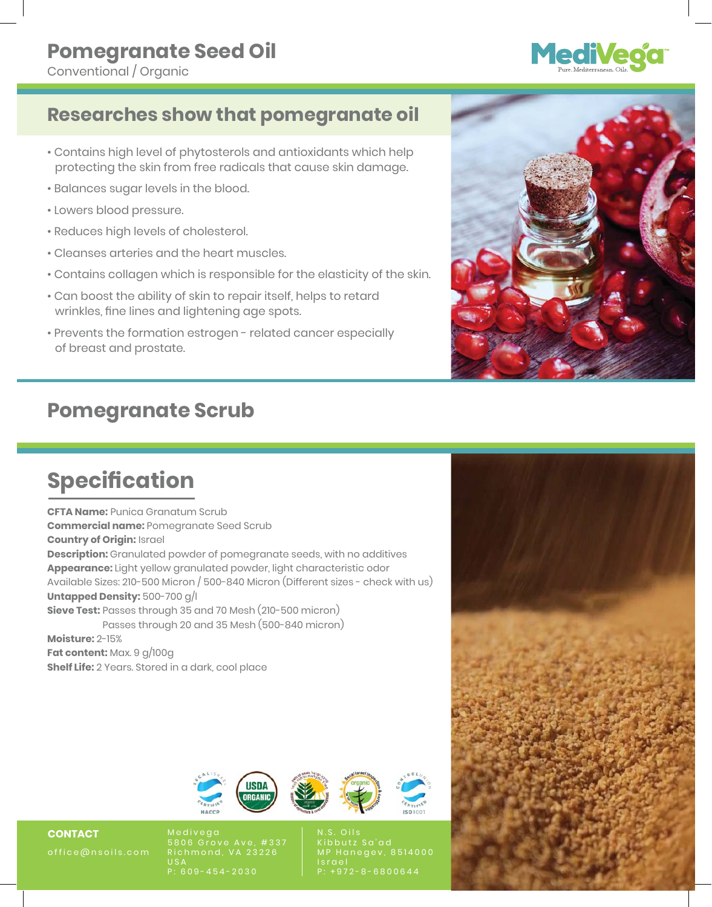# **MediVeo**

## **Researches show that pomegranate oil**

- Contains high level of phytosterols and antioxidants which help protecting the skin from free radicals that cause skin damage.
- Balances sugar levels in the blood.
- Lowers blood pressure.
- Reduces high levels of cholesterol.
- Cleanses arteries and the heart muscles.
- Contains collagen which is responsible for the elasticity of the skin.
- Can boost the ability of skin to repair itself, helps to retard wrinkles, fine lines and lightening age spots.
- Prevents the formation estrogen related cancer especially of breast and prostate.

## **Pomegranate Scrub**

## **Specification**

**CFTA Name:** Punica Granatum Scrub **Commercial name:** Pomegranate Seed Scrub **Country of Origin:** Israel **Description:** Granulated powder of pomegranate seeds, with no additives **Appearance:** Light yellow granulated powder, light characteristic odor Available Sizes: 210-500 Micron / 500-840 Micron (Different sizes - check with us) **Untapped Density:** 500-700 g/l **Sieve Test:** Passes through 35 and 70 Mesh (210-500 micron) Passes through 20 and 35 Mesh (500-840 micron) **Moisture:** 2-15% **Fat content:** Max. 9 g/100g **Shelf Life:** 2 Years. Stored in a dark, cool place



N.S. Oils I s r a e l P: +972-8-6800644



**CONTACT**  office@nsoils.com 5806 Grove Ave, #337 Richmond, VA 23226 U S A P: 609-454-2030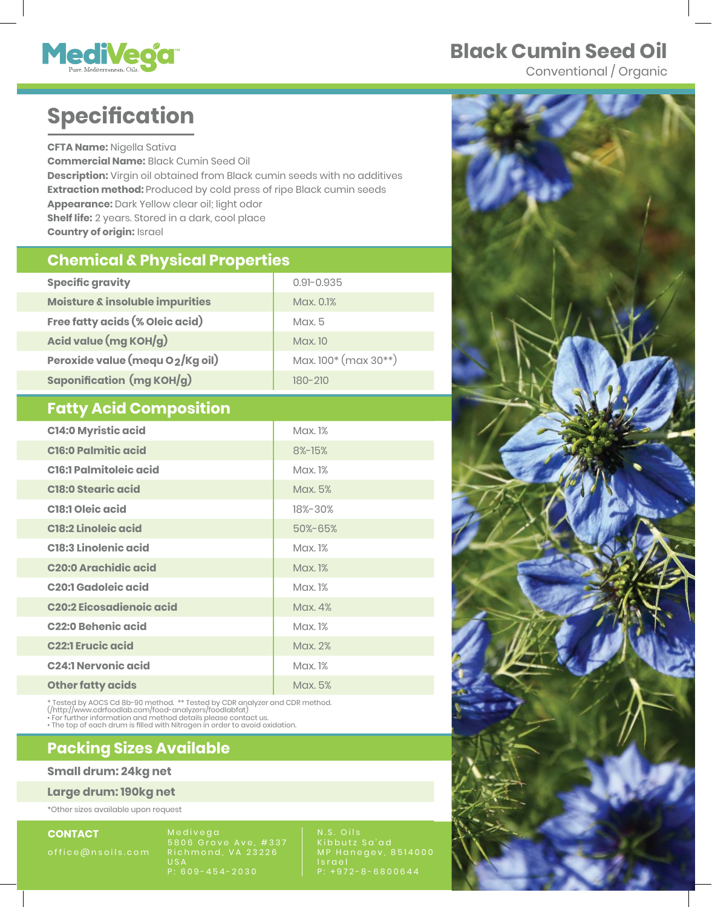

## **Black Cumin Seed Oil**

Conventional / Organic

## **Specification**

**CFTA Name:** Nigella Sativa **Commercial Name:** Black Cumin Seed Oil **Description:** Virgin oil obtained from Black cumin seeds with no additives **Extraction method:** Produced by cold press of ripe Black cumin seeds **Appearance:** Dark Yellow clear oil; light odor **Shelf life:** 2 years. Stored in a dark, cool place **Country of origin: Israel** 

#### **Chemical & Physical Properties**

| <b>Specific gravity</b>          | $0.91 - 0.935$                |
|----------------------------------|-------------------------------|
| Moisture & insoluble impurities  | Max. 0.1%                     |
| Free fatty acids (% Oleic acid)  | $M$ ax. 5                     |
| Acid value (mg KOH/g)            | Max. 10                       |
| Peroxide value (mequ O2/Kg oil)  | Max. $100^*$ (max $30^{**}$ ) |
| <b>Saponification (mg KOH/g)</b> | 180-210                       |

#### **Fatty Acid Composition**

| <b>C14:0 Myristic acid</b>      | Max. 1% |
|---------------------------------|---------|
| <b>C16:0 Palmitic acid</b>      | 8%-15%  |
| <b>C16:1 Palmitoleic acid</b>   | Max. 1% |
| <b>C18:0 Stearic acid</b>       | Max. 5% |
| <b>C18:1 Oleic acid</b>         | 18%-30% |
| <b>C18:2 Linoleic acid</b>      | 50%-65% |
| <b>C18:3 Linolenic acid</b>     | Max. 1% |
| <b>C20:0 Arachidic acid</b>     | Max. 1% |
| <b>C20:1 Gadoleic acid</b>      | Max. 1% |
| <b>C20:2 Eicosadienoic acid</b> | Max. 4% |
| <b>C22:0 Behenic acid</b>       | Max. 1% |
| <b>C22:1 Erucic acid</b>        | Max. 2% |
| <b>C24:1 Nervonic acid</b>      | Max. 1% |
| <b>Other fatty acids</b>        | Max. 5% |

\* Tested by AOCS Cd 8b-90 method. \*\* Tested by CDR analyzer and CDR method.<br>(/http://www.cdrfoodlab.com/food-analyzers/foodlabfat)<br>• For further information and method details please contact us.<br>• The top of each drum is f

#### **Nacking Sizes Available**

#### **Small drum: 24kg net**

Large drum: 190kg net

\*Other sizes available upon request

**CONTACT** 

5806 Grove Ave, #337 Richmond, VA 23226  $US$ P: 609-454-2030

Kibbutz Sa'ad MP Hanegev, 8514000 I s r a e l P: +972-8-6800644

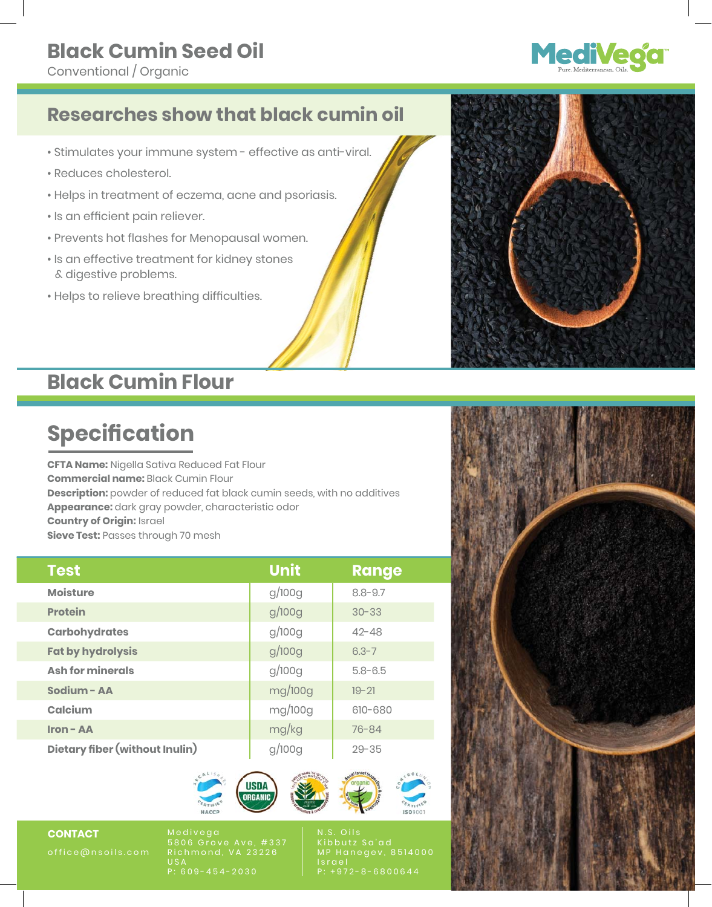## **Black Cumin Seed Oil**

Conventional / Organic



## **Researches show that black cumin oil**

- Stimulates your immune system effective as anti-viral.
- Reduces cholesterol.
- Helps in treatment of eczema, acne and psoriasis.
- Is an efficient pain reliever.
- Prevents hot flashes for Menopausal women.
- Is an effective treatment for kidney stones & digestive problems.
- Helps to relieve breathing difficulties.

## **Black Cumin Flour**

## **Specification**

**CFTA Name:** Nigella Sativa Reduced Fat Flour **Commercial name:** Black Cumin Flour **Description:** powder of reduced fat black cumin seeds, with no additives **Appearance:** dark gray powder, characteristic odor **Country of Origin:** Israel **Sieve Test: Passes through 70 mesh** 

| <b>Test</b>                    | <b>Unit</b> | <b>Range</b> |
|--------------------------------|-------------|--------------|
| <b>Moisture</b>                | g/100g      | $8.8 - 9.7$  |
| <b>Protein</b>                 | g/100g      | $30 - 33$    |
| <b>Carbohydrates</b>           | g/100g      | $42 - 48$    |
| <b>Fat by hydrolysis</b>       | g/100g      | $6.3 - 7$    |
| <b>Ash for minerals</b>        | g/100g      | $5.8 - 6.5$  |
| Sodium - AA                    | mg/100g     | $19 - 21$    |
| Calcium                        | mg/100g     | 610-680      |
| <b>Iron - AA</b>               | mg/kg       | $76 - 84$    |
| Dietary fiber (without Inulin) | g/100g      | $29 - 35$    |



**CONTACT** 

5806 Grove Ave, #337 Richmond, VA 23226 P: 609-454-2030

N.S. Oils Kibbutz Sa'ad MP Hanegev, 8514000 P: +972-8-6800644

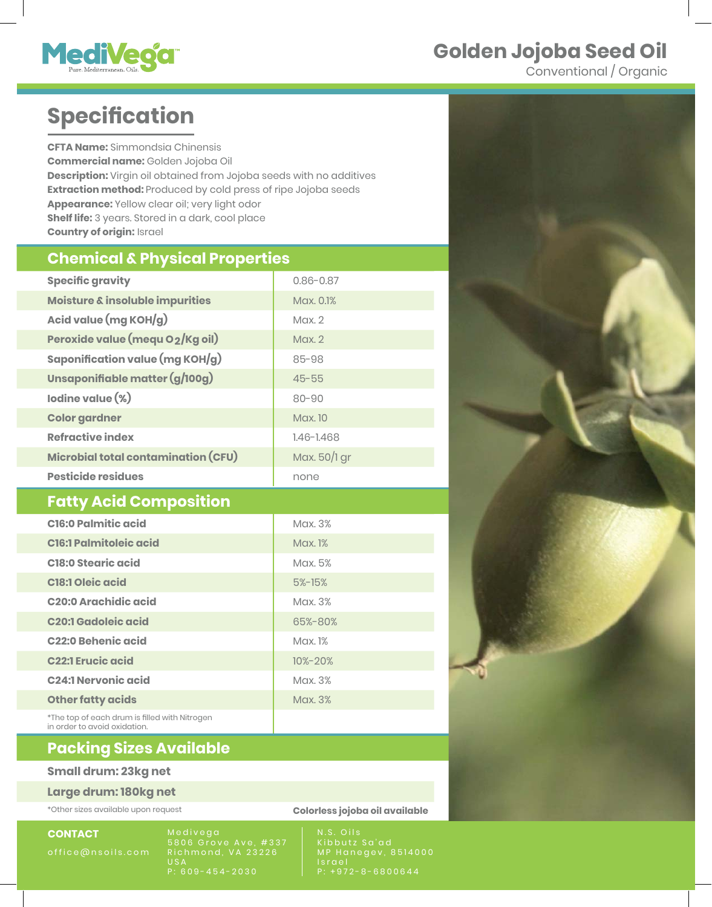## Golden Jojoba Seed Oil



Conventional / Organic

## **Specification**

**CFTA Name:** Simmondsia Chinensis Commercial name: Golden Jojoba Oil **Description:** Virgin oil obtained from Jojoba seeds with no additives **Extraction method:** Produced by cold press of ripe Jojoba seeds **Appearance: Yellow clear oil; very light odor Shelf life:** 3 years. Stored in a dark, cool place **Country of origin: Israel** 

#### **Chemical & Physical Properties**

| <b>Specific gravity</b>             | $0.86 - 0.87$  |
|-------------------------------------|----------------|
| Moisture & insoluble impurities     | Max. 0.1%      |
| Acid value (mg KOH/g)               | $M$ ax. $2$    |
| Peroxide value (mequ O2/Kg oil)     | $M$ ax. $2$    |
| Saponification value (mg KOH/g)     | $85 - 98$      |
| Unsaponifiable matter (g/100g)      | $45 - 55$      |
| lodine value (%)                    | $80 - 90$      |
| <b>Color gardner</b>                | <b>Max.</b> 10 |
| <b>Refractive index</b>             | $1.46 - 1.468$ |
| Microbial total contamination (CFU) | Max. 50/1 gr   |
| <b>Pesticide residues</b>           | none           |

#### *<u>Fatty Acid Composition</u>*

| <b>C16:0 Palmitic acid</b>                                                    | Max. 3%       |
|-------------------------------------------------------------------------------|---------------|
| <b>C16:1 Palmitoleic acid</b>                                                 | Max. 1%       |
| <b>C18:0 Stearic acid</b>                                                     | Max. 5%       |
| <b>C18:1 Oleic acid</b>                                                       | $5%$ -15%     |
| <b>C20:0 Arachidic acid</b>                                                   | Max. 3%       |
| <b>C20:1 Gadoleic acid</b>                                                    | 65%-80%       |
| C <sub>22</sub> :0 Behenic acid                                               | Max. 1%       |
| <b>C22:1 Erucic acid</b>                                                      | $10\% - 20\%$ |
| <b>C24:1 Nervonic acid</b>                                                    | Max. 3%       |
| <b>Other fatty acids</b>                                                      | Max. 3%       |
| *The top of each drum is filled with Nitrogen<br>in order to avoid oxidation. |               |



#### **Nacking Sizes Available**

#### **Small drum: 23kg net**

Large drum: 180kg net

**CONTACT** 

Medivega 5806 Grove Ave, #337 Richmond, VA 23226  $US$ P: 609-454-2030

\*Other sizes available upon request **by a strategy of the contract of the contract of the contract of the contract of the contract of the contract of the contract of the contract of the contract of the contract of the cont** 

Kibbutz Sa'ad MP Hanegev, 8514000 I s r a e l P: +972-8-6800644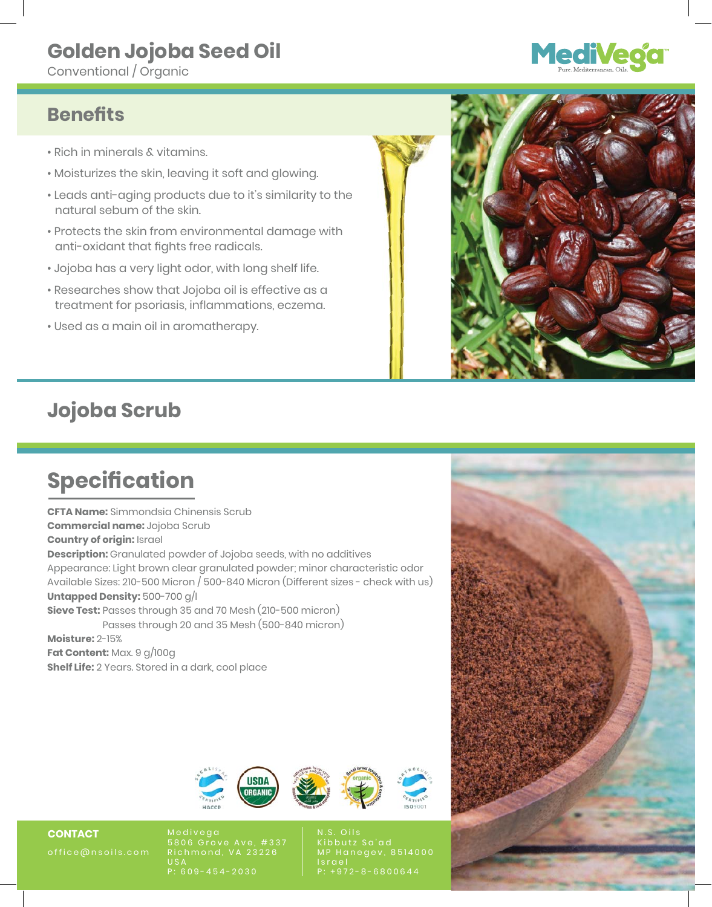## **Golden Jojoba Seed Oil**

Conventional / Organic

# **MediVeo**

### **Benefits**

- Rich in minerals & vitamins.
- Moisturizes the skin, leaving it soft and glowing.
- Leads anti-aging products due to it's similarity to the natural sebum of the skin.
- Protects the skin from environmental damage with anti-oxidant that fights free radicals.
- Jojoba has a very light odor, with long shelf life.
- Researches show that Jojoba oil is effective as a treatment for psoriasis, inflammations, eczema.
- Used as a main oil in aromatherapy.

![](_page_5_Picture_11.jpeg)

## **Jojoba Scrub**

## **Specification**

**CFTA Name:** Simmondsia Chinensis Scrub **Commercial name:** Jojoba Scrub **Country of origin: Israel Description:** Granulated powder of Jojoba seeds, with no additives Appearance: Light brown clear granulated powder; minor characteristic odor Available Sizes: 210-500 Micron / 500-840 Micron (Different sizes - check with us) **Untapped Density:** 500-700 g/l **Sieve Test:** Passes through 35 and 70 Mesh (210-500 micron) Passes through 20 and 35 Mesh (500-840 micron)

**Moisture: 2-15% Fat Content: Max. 9 g/100g Shelf Life:** 2 Years. Stored in a dark, cool place

![](_page_5_Picture_16.jpeg)

**CONTACT**  office@nsoils.com 5806 Grove Ave, #337 Richmond, VA 23226 U S A P: 609-454-2030

N.S. Oils Kibbutz Sa'ad MP Hanegev, 8514000 Israe P: +972-8-6800644

![](_page_5_Picture_20.jpeg)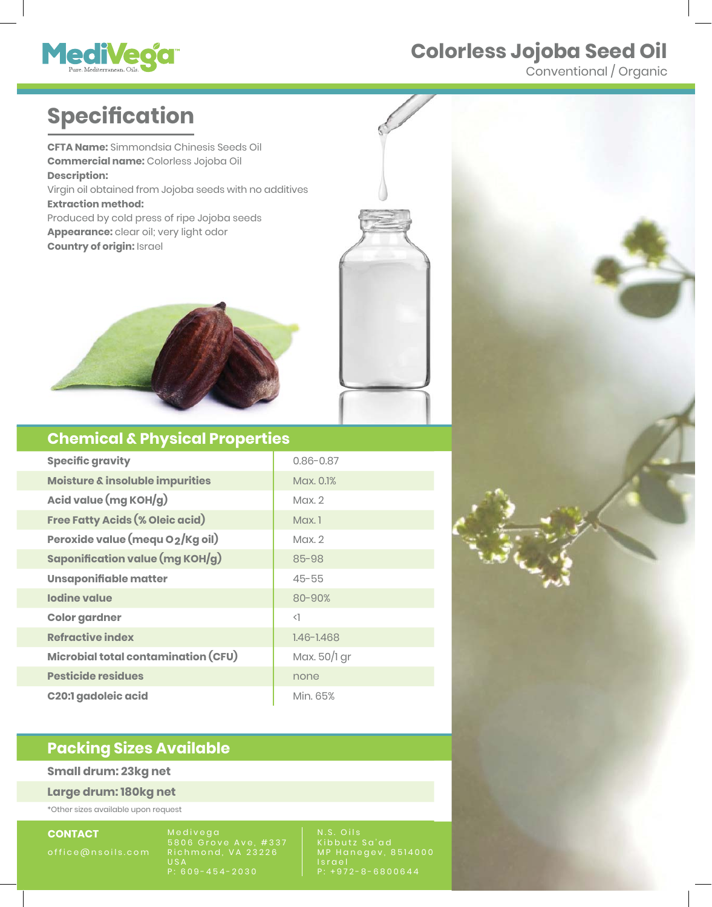# Meditega City

## **Colorless Jojoba Seed Oil**

Conventional / Organic

## **Specification**

**CFTA Name:** Simmondsia Chinesis Seeds Oil **Commercial name:** Colorless Jojoba Oil **Description:** Virgin oil obtained from Jojoba seeds with no additives **Extraction method:** Produced by cold press of ripe Jojoba seeds **Appearance:** clear oil; very light odor **Country of origin:** Israel

![](_page_6_Picture_5.jpeg)

### **Chemical & Physical Properties**

| <b>Specific gravity</b>                | $0.86 - 0.87$  |
|----------------------------------------|----------------|
| Moisture & insoluble impurities        | Max. 0.1%      |
| Acid value (mg KOH/g)                  | $M$ ax. $2$    |
| <b>Free Fatty Acids (% Oleic acid)</b> | $M$ ax. 1      |
| Peroxide value (mequ O2/Kg oil)        | Max.2          |
| Saponification value (mg KOH/g)        | 85-98          |
| Unsaponifiable matter                  | $45 - 55$      |
| <b>Iodine value</b><br>80-90%          |                |
| <b>Color gardner</b>                   | $\langle$      |
| <b>Refractive index</b>                | $1.46 - 1.468$ |
| Microbial total contamination (CFU)    | Max. 50/1 gr   |
| <b>Pesticide residues</b>              | none           |
| <b>C20:1 gadoleic acid</b>             | Min. 65%       |

### **Packing Sizes Available**

#### **Small drum: 23kg net**

**Large drum: 180kg net**

\*Other sizes available upon request

**CONTACT** 

Medivega 5806 Grove Ave, #337 Richmond, VA 23226  $US/$ P: 609-454-2030

N.S. Oils Kibbutz Sa'ad MP Hanegev, 8514000 I s r a e l P: +972-8-6800644